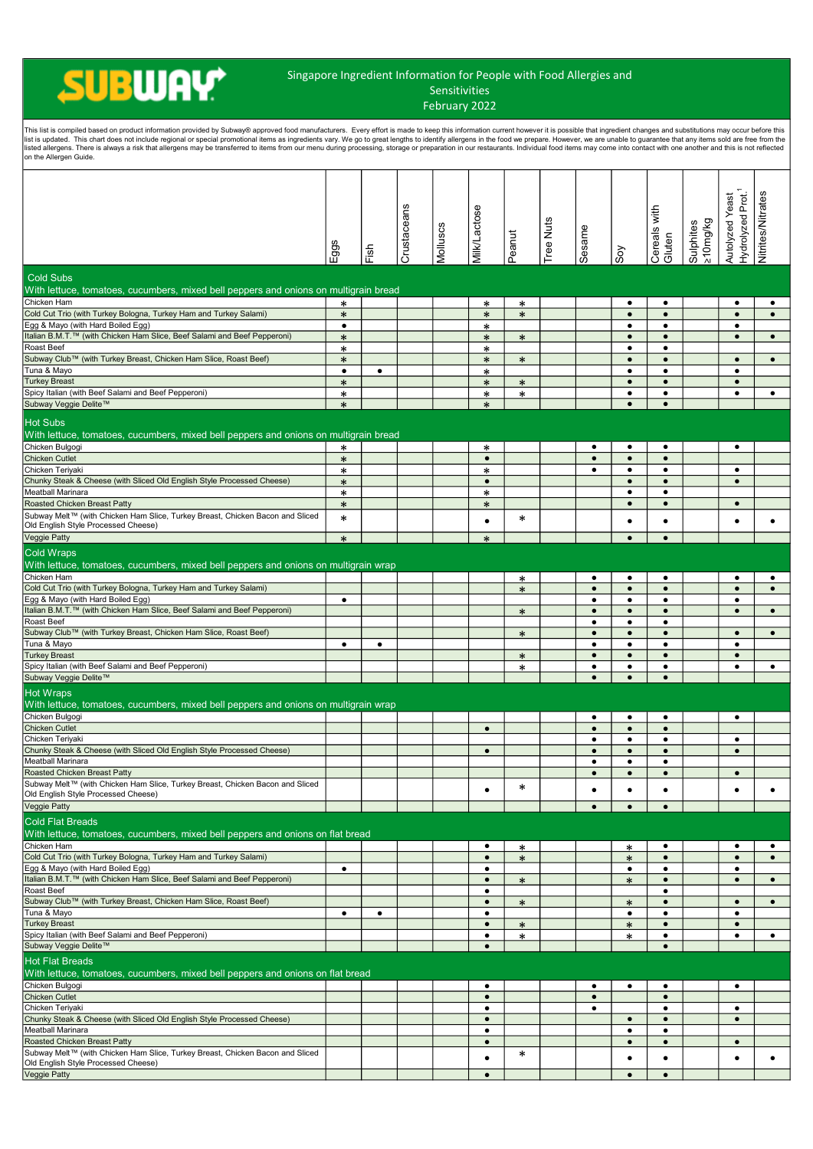## **SUBWAY**

## Singapore Ingredient Information for People with Food Allergies and Sensitivities

February 2022

| This list is compiled based on product information provided by Subway® approved food manufacturers. Every effort is made to keep this information current however it is possible that ingredient changes and substitutions may<br>list is updated. This chart does not include regional or special promotional items as ingredients vary. We go to great lengths to identify allergens in the food we prepare. However, we are unable to guarantee that any item<br>listed allergens. There is always a risk that allergens may be transferred to items from our menu during processing, storage or preparation in our restaurants. Individual food items may come into contact with one another a<br>on the Allergen Guide. |                     |           |             |          |                        |        |           |                        |                        |                        |                       |                                                  |                   |
|------------------------------------------------------------------------------------------------------------------------------------------------------------------------------------------------------------------------------------------------------------------------------------------------------------------------------------------------------------------------------------------------------------------------------------------------------------------------------------------------------------------------------------------------------------------------------------------------------------------------------------------------------------------------------------------------------------------------------|---------------------|-----------|-------------|----------|------------------------|--------|-----------|------------------------|------------------------|------------------------|-----------------------|--------------------------------------------------|-------------------|
|                                                                                                                                                                                                                                                                                                                                                                                                                                                                                                                                                                                                                                                                                                                              | Eggs                | Fish      | Crustaceans | Molluscs | <b>Milk/Lactose</b>    | Peanut | Tree Nuts | Sesame                 | Soy                    | Cereals with<br>Gluten | ≥10mg/kg<br>Sulphites | Hydrolyzed Prot. <sup>1</sup><br>Autolyzed Yeast | Nitrites/Nitrates |
| <b>Cold Subs</b><br>With lettuce, tomatoes, cucumbers, mixed bell peppers and onions on multigrain bread                                                                                                                                                                                                                                                                                                                                                                                                                                                                                                                                                                                                                     |                     |           |             |          |                        |        |           |                        |                        |                        |                       |                                                  |                   |
| Chicken Ham                                                                                                                                                                                                                                                                                                                                                                                                                                                                                                                                                                                                                                                                                                                  | $\ast$              |           |             |          | $\ast$                 | $\ast$ |           |                        | $\bullet$              | $\bullet$              |                       | $\bullet$                                        | $\bullet$         |
| Cold Cut Trio (with Turkey Bologna, Turkey Ham and Turkey Salami)                                                                                                                                                                                                                                                                                                                                                                                                                                                                                                                                                                                                                                                            | $\ast$              |           |             |          | $\ast$                 | $\ast$ |           |                        | $\bullet$              | $\bullet$              |                       | $\bullet$                                        | $\bullet$         |
| Egg & Mayo (with Hard Boiled Egg)<br>Italian B.M.T.™ (with Chicken Ham Slice, Beef Salami and Beef Pepperoni)                                                                                                                                                                                                                                                                                                                                                                                                                                                                                                                                                                                                                | $\bullet$<br>$\ast$ |           |             |          | $\ast$<br>$\ast$       | $\ast$ |           |                        | $\bullet$<br>$\bullet$ | $\bullet$<br>$\bullet$ |                       | $\bullet$<br>$\bullet$                           | $\bullet$         |
| Roast Beef                                                                                                                                                                                                                                                                                                                                                                                                                                                                                                                                                                                                                                                                                                                   | *                   |           |             |          | *                      |        |           |                        | $\bullet$              | $\bullet$              |                       |                                                  |                   |
| Subway Club™ (with Turkey Breast, Chicken Ham Slice, Roast Beef)                                                                                                                                                                                                                                                                                                                                                                                                                                                                                                                                                                                                                                                             | $\ast$              |           |             |          | $\ast$                 | $\ast$ |           |                        | $\bullet$              | $\bullet$              |                       | $\bullet$                                        | $\bullet$         |
| Tuna & Mayo<br><b>Turkey Breast</b>                                                                                                                                                                                                                                                                                                                                                                                                                                                                                                                                                                                                                                                                                          | $\bullet$<br>$\ast$ | $\bullet$ |             |          | $\ast$<br>$\ast$       | $\ast$ |           |                        | $\bullet$<br>$\bullet$ | $\bullet$<br>$\bullet$ |                       | $\bullet$<br>$\bullet$                           |                   |
| Spicy Italian (with Beef Salami and Beef Pepperoni)                                                                                                                                                                                                                                                                                                                                                                                                                                                                                                                                                                                                                                                                          | $\ast$              |           |             |          | $\ast$                 | $\ast$ |           |                        | $\bullet$              | ٠                      |                       | $\bullet$                                        | $\bullet$         |
| Subway Veggie Delite™                                                                                                                                                                                                                                                                                                                                                                                                                                                                                                                                                                                                                                                                                                        | $\ast$              |           |             |          | $\ast$                 |        |           |                        | $\bullet$              | $\bullet$              |                       |                                                  |                   |
| <b>Hot Subs</b>                                                                                                                                                                                                                                                                                                                                                                                                                                                                                                                                                                                                                                                                                                              |                     |           |             |          |                        |        |           |                        |                        |                        |                       |                                                  |                   |
| With lettuce, tomatoes, cucumbers, mixed bell peppers and onions on multigrain bread                                                                                                                                                                                                                                                                                                                                                                                                                                                                                                                                                                                                                                         |                     |           |             |          |                        |        |           |                        |                        |                        |                       |                                                  |                   |
| Chicken Bulgogi<br>Chicken Cutlet                                                                                                                                                                                                                                                                                                                                                                                                                                                                                                                                                                                                                                                                                            | $\ast$<br>$\ast$    |           |             |          | *<br>$\bullet$         |        |           | $\bullet$<br>$\bullet$ | $\bullet$<br>$\bullet$ | $\bullet$<br>$\bullet$ |                       | $\bullet$                                        |                   |
| Chicken Teriyaki                                                                                                                                                                                                                                                                                                                                                                                                                                                                                                                                                                                                                                                                                                             | $\ast$              |           |             |          | $\ast$                 |        |           | $\bullet$              | $\bullet$              | $\bullet$              |                       | $\bullet$                                        |                   |
| Chunky Steak & Cheese (with Sliced Old English Style Processed Cheese)                                                                                                                                                                                                                                                                                                                                                                                                                                                                                                                                                                                                                                                       | $\ast$              |           |             |          | $\bullet$              |        |           |                        | $\bullet$              | $\bullet$              |                       | $\bullet$                                        |                   |
| Meatball Marinara<br>Roasted Chicken Breast Patty                                                                                                                                                                                                                                                                                                                                                                                                                                                                                                                                                                                                                                                                            | $\ast$<br>$\ast$    |           |             |          | ∗<br>$\ast$            |        |           |                        | $\bullet$<br>$\bullet$ | $\bullet$<br>$\bullet$ |                       | $\bullet$                                        |                   |
| Subway Melt™ (with Chicken Ham Slice, Turkey Breast, Chicken Bacon and Sliced                                                                                                                                                                                                                                                                                                                                                                                                                                                                                                                                                                                                                                                | $\ast$              |           |             |          | ٠                      | ∗      |           |                        | ٠                      |                        |                       | ٠                                                | $\bullet$         |
| Old English Style Processed Cheese)                                                                                                                                                                                                                                                                                                                                                                                                                                                                                                                                                                                                                                                                                          |                     |           |             |          |                        |        |           |                        |                        |                        |                       |                                                  |                   |
| Veggie Patty                                                                                                                                                                                                                                                                                                                                                                                                                                                                                                                                                                                                                                                                                                                 | $\ast$              |           |             |          | $\ast$                 |        |           |                        | $\bullet$              | $\bullet$              |                       |                                                  |                   |
| <b>Cold Wraps</b><br>With lettuce, tomatoes, cucumbers, mixed bell peppers and onions on multigrain wrap                                                                                                                                                                                                                                                                                                                                                                                                                                                                                                                                                                                                                     |                     |           |             |          |                        |        |           |                        |                        |                        |                       |                                                  |                   |
| Chicken Ham                                                                                                                                                                                                                                                                                                                                                                                                                                                                                                                                                                                                                                                                                                                  |                     |           |             |          |                        | ∗      |           | $\bullet$              | $\bullet$              | $\bullet$              |                       | $\bullet$                                        | $\bullet$         |
| Cold Cut Trio (with Turkey Bologna, Turkey Ham and Turkey Salami)                                                                                                                                                                                                                                                                                                                                                                                                                                                                                                                                                                                                                                                            |                     |           |             |          |                        | $\ast$ |           | $\bullet$              | $\bullet$              | $\bullet$              |                       | $\bullet$                                        | $\bullet$         |
| Egg & Mayo (with Hard Boiled Egg)<br>Italian B.M.T.™ (with Chicken Ham Slice, Beef Salami and Beef Pepperoni)                                                                                                                                                                                                                                                                                                                                                                                                                                                                                                                                                                                                                | $\bullet$           |           |             |          |                        | $\ast$ |           | $\bullet$<br>$\bullet$ | $\bullet$<br>$\bullet$ | $\bullet$<br>$\bullet$ |                       | $\bullet$<br>$\bullet$                           | $\bullet$         |
| Roast Beef                                                                                                                                                                                                                                                                                                                                                                                                                                                                                                                                                                                                                                                                                                                   |                     |           |             |          |                        |        |           | $\bullet$              | $\bullet$              | $\bullet$              |                       |                                                  |                   |
| Subway Club™ (with Turkey Breast, Chicken Ham Slice, Roast Beef)                                                                                                                                                                                                                                                                                                                                                                                                                                                                                                                                                                                                                                                             |                     |           |             |          |                        | $\ast$ |           | $\bullet$              | $\bullet$              | $\bullet$              |                       | $\bullet$                                        | $\bullet$         |
| Tuna & Mayo<br><b>Turkey Breast</b>                                                                                                                                                                                                                                                                                                                                                                                                                                                                                                                                                                                                                                                                                          | $\bullet$           | $\bullet$ |             |          |                        | $\ast$ |           | $\bullet$<br>$\bullet$ | $\bullet$<br>$\bullet$ | $\bullet$<br>$\bullet$ |                       | $\bullet$<br>$\bullet$                           |                   |
| Spicy Italian (with Beef Salami and Beef Pepperoni)                                                                                                                                                                                                                                                                                                                                                                                                                                                                                                                                                                                                                                                                          |                     |           |             |          |                        | $\ast$ |           | $\bullet$              | $\bullet$              | $\bullet$              |                       | $\bullet$                                        | $\bullet$         |
| Subway Veggie Delite™                                                                                                                                                                                                                                                                                                                                                                                                                                                                                                                                                                                                                                                                                                        |                     |           |             |          |                        |        |           | $\bullet$              | $\bullet$              | $\bullet$              |                       |                                                  |                   |
| <b>Hot Wraps</b>                                                                                                                                                                                                                                                                                                                                                                                                                                                                                                                                                                                                                                                                                                             |                     |           |             |          |                        |        |           |                        |                        |                        |                       |                                                  |                   |
| With lettuce, tomatoes, cucumbers, mixed bell peppers and onions on multigrain wrap<br>Chicken Bulgogi                                                                                                                                                                                                                                                                                                                                                                                                                                                                                                                                                                                                                       |                     |           |             |          |                        |        |           | ٠                      | ٠                      |                        |                       | $\bullet$                                        |                   |
| Chicken Cutlet                                                                                                                                                                                                                                                                                                                                                                                                                                                                                                                                                                                                                                                                                                               |                     |           |             |          | $\bullet$              |        |           | $\bullet$              | $\bullet$              | $\bullet$              |                       |                                                  |                   |
| Chicken Teriyaki<br>Chunky Steak & Cheese (with Sliced Old English Style Processed Cheese)                                                                                                                                                                                                                                                                                                                                                                                                                                                                                                                                                                                                                                   |                     |           |             |          |                        |        |           | $\bullet$              | $\bullet$              | $\bullet$              |                       | $\bullet$                                        |                   |
| Meatball Marinara                                                                                                                                                                                                                                                                                                                                                                                                                                                                                                                                                                                                                                                                                                            |                     |           |             |          | $\bullet$              |        |           | $\bullet$<br>$\bullet$ | $\bullet$<br>$\bullet$ | $\bullet$<br>$\bullet$ |                       | $\bullet$                                        |                   |
| Roasted Chicken Breast Patty                                                                                                                                                                                                                                                                                                                                                                                                                                                                                                                                                                                                                                                                                                 |                     |           |             |          |                        |        |           | $\bullet$              | $\bullet$              | $\bullet$              |                       | $\bullet$                                        |                   |
| Subway Melt™ (with Chicken Ham Slice, Turkey Breast, Chicken Bacon and Sliced<br>Old English Style Processed Cheese)                                                                                                                                                                                                                                                                                                                                                                                                                                                                                                                                                                                                         |                     |           |             |          |                        | ∗      |           | $\bullet$              | $\bullet$              | ٠                      |                       | ٠                                                | $\bullet$         |
| Veggie Patty                                                                                                                                                                                                                                                                                                                                                                                                                                                                                                                                                                                                                                                                                                                 |                     |           |             |          |                        |        |           | $\bullet$              | $\bullet$              | $\bullet$              |                       |                                                  |                   |
| <b>Cold Flat Breads</b>                                                                                                                                                                                                                                                                                                                                                                                                                                                                                                                                                                                                                                                                                                      |                     |           |             |          |                        |        |           |                        |                        |                        |                       |                                                  |                   |
| With lettuce, tomatoes, cucumbers, mixed bell peppers and onions on flat bread                                                                                                                                                                                                                                                                                                                                                                                                                                                                                                                                                                                                                                               |                     |           |             |          |                        |        |           |                        |                        |                        |                       |                                                  |                   |
| Chicken Ham                                                                                                                                                                                                                                                                                                                                                                                                                                                                                                                                                                                                                                                                                                                  |                     |           |             |          | ٠                      | ∗      |           |                        | $\ast$                 | $\bullet$              |                       | $\bullet$                                        | $\bullet$         |
| Cold Cut Trio (with Turkey Bologna, Turkey Ham and Turkey Salami)<br>Egg & Mayo (with Hard Boiled Egg)                                                                                                                                                                                                                                                                                                                                                                                                                                                                                                                                                                                                                       | $\bullet$           |           |             |          | $\bullet$<br>٠         | $\ast$ |           |                        | $\ast$<br>$\bullet$    | $\bullet$<br>٠         |                       | $\bullet$<br>$\bullet$                           | $\bullet$         |
| Italian B.M.T.™ (with Chicken Ham Slice, Beef Salami and Beef Pepperoni)                                                                                                                                                                                                                                                                                                                                                                                                                                                                                                                                                                                                                                                     |                     |           |             |          | $\bullet$              | $\ast$ |           |                        | $\ast$                 | $\bullet$              |                       | $\bullet$                                        | $\bullet$         |
| Roast Beef                                                                                                                                                                                                                                                                                                                                                                                                                                                                                                                                                                                                                                                                                                                   |                     |           |             |          | $\bullet$              |        |           |                        |                        | $\bullet$              |                       |                                                  |                   |
| Subway Club™ (with Turkey Breast, Chicken Ham Slice, Roast Beef)<br>Tuna & Mayo                                                                                                                                                                                                                                                                                                                                                                                                                                                                                                                                                                                                                                              | $\bullet$           | $\bullet$ |             |          | $\bullet$<br>$\bullet$ | $\ast$ |           |                        | $\ast$<br>$\bullet$    | $\bullet$<br>$\bullet$ |                       | $\bullet$<br>$\bullet$                           | $\bullet$         |
| <b>Turkey Breast</b>                                                                                                                                                                                                                                                                                                                                                                                                                                                                                                                                                                                                                                                                                                         |                     |           |             |          | $\bullet$              | $\ast$ |           |                        | $\ast$                 | $\bullet$              |                       | $\bullet$                                        |                   |
| Spicy Italian (with Beef Salami and Beef Pepperoni)<br>Subway Veggie Delite™                                                                                                                                                                                                                                                                                                                                                                                                                                                                                                                                                                                                                                                 |                     |           |             |          | ٠<br>$\bullet$         | $\ast$ |           |                        | $\ast$                 | $\bullet$<br>$\bullet$ |                       | $\bullet$                                        | $\bullet$         |
| <b>Hot Flat Breads</b>                                                                                                                                                                                                                                                                                                                                                                                                                                                                                                                                                                                                                                                                                                       |                     |           |             |          |                        |        |           |                        |                        |                        |                       |                                                  |                   |
| With lettuce, tomatoes, cucumbers, mixed bell peppers and onions on flat bread                                                                                                                                                                                                                                                                                                                                                                                                                                                                                                                                                                                                                                               |                     |           |             |          |                        |        |           |                        |                        |                        |                       |                                                  |                   |
| Chicken Bulgogi                                                                                                                                                                                                                                                                                                                                                                                                                                                                                                                                                                                                                                                                                                              |                     |           |             |          | $\bullet$              |        |           | $\bullet$              | $\bullet$              | $\bullet$              |                       | $\bullet$                                        |                   |
| Chicken Cutlet                                                                                                                                                                                                                                                                                                                                                                                                                                                                                                                                                                                                                                                                                                               |                     |           |             |          | $\bullet$              |        |           | $\bullet$              |                        | $\bullet$              |                       |                                                  |                   |
| Chicken Teriyaki<br>Chunky Steak & Cheese (with Sliced Old English Style Processed Cheese)                                                                                                                                                                                                                                                                                                                                                                                                                                                                                                                                                                                                                                   |                     |           |             |          | $\bullet$<br>$\bullet$ |        |           | $\bullet$              | $\bullet$              | $\bullet$<br>$\bullet$ |                       | $\bullet$<br>$\bullet$                           |                   |
| Meatball Marinara                                                                                                                                                                                                                                                                                                                                                                                                                                                                                                                                                                                                                                                                                                            |                     |           |             |          | $\bullet$              |        |           |                        | $\bullet$              | $\bullet$              |                       |                                                  |                   |
| Roasted Chicken Breast Patty                                                                                                                                                                                                                                                                                                                                                                                                                                                                                                                                                                                                                                                                                                 |                     |           |             |          | $\bullet$              |        |           |                        | $\bullet$              | $\bullet$              |                       | $\bullet$                                        |                   |
| Subway Melt™ (with Chicken Ham Slice, Turkey Breast, Chicken Bacon and Sliced<br>Old English Style Processed Cheese)                                                                                                                                                                                                                                                                                                                                                                                                                                                                                                                                                                                                         |                     |           |             |          | $\bullet$              | $\ast$ |           |                        | $\bullet$              | ٠                      |                       | ٠                                                | $\bullet$         |
| Veggie Patty                                                                                                                                                                                                                                                                                                                                                                                                                                                                                                                                                                                                                                                                                                                 |                     |           |             |          | $\bullet$              |        |           |                        | $\bullet$              | $\bullet$              |                       |                                                  |                   |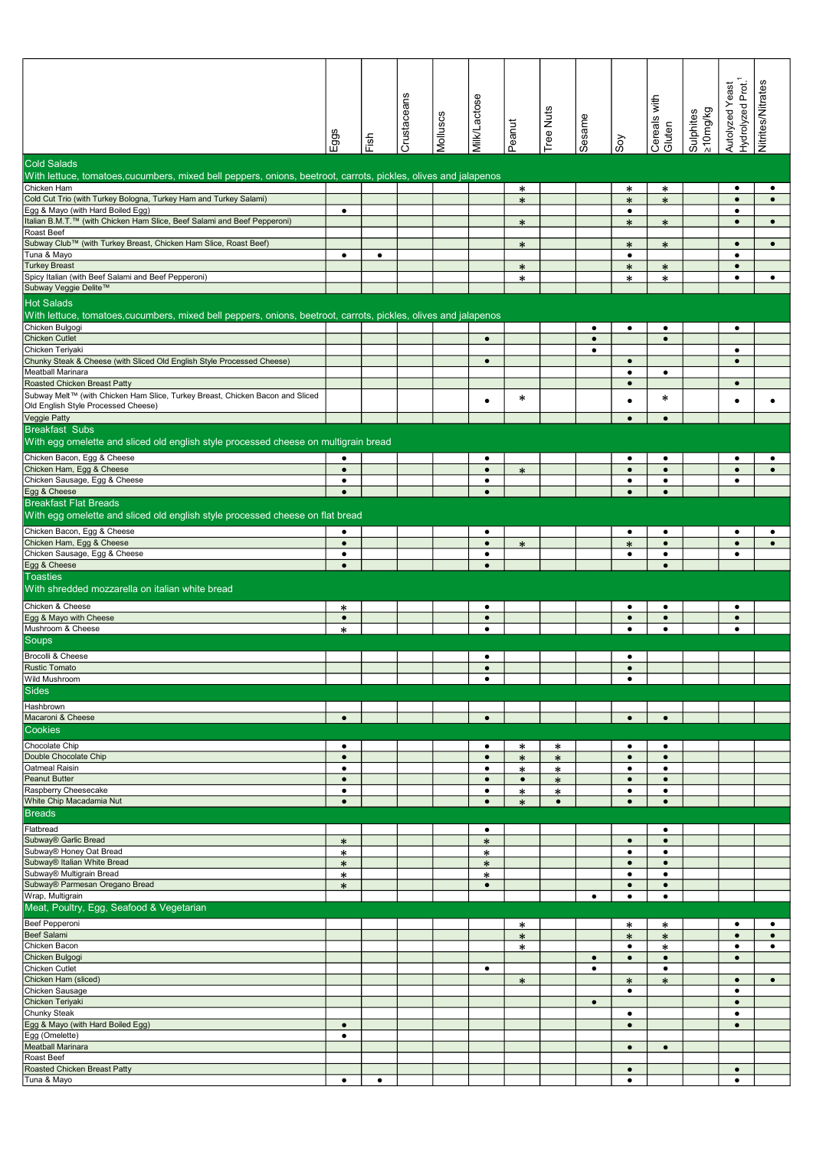|                                                                                                                |                        |           | Crustaceans | Molluscs | Milk/Lactose           | Peanut           | Tree Nuts   | Sesame    |                        | Cereals with<br>Gluten |                        | Hydrolyzed Prot.<br>Autolyzed Yeast | Nitrites/Nitrates      |
|----------------------------------------------------------------------------------------------------------------|------------------------|-----------|-------------|----------|------------------------|------------------|-------------|-----------|------------------------|------------------------|------------------------|-------------------------------------|------------------------|
|                                                                                                                | Eggs                   | Fish      |             |          |                        |                  |             |           | Soy                    |                        | sy/buu01<<br>Sulphites |                                     |                        |
| <b>Cold Salads</b>                                                                                             |                        |           |             |          |                        |                  |             |           |                        |                        |                        |                                     |                        |
| With lettuce, tomatoes,cucumbers, mixed bell peppers, onions, beetroot, carrots, pickles, olives and jalapenos |                        |           |             |          |                        |                  |             |           |                        |                        |                        |                                     |                        |
| Chicken Ham<br>Cold Cut Trio (with Turkey Bologna, Turkey Ham and Turkey Salami)                               |                        |           |             |          |                        | $\ast$<br>$\ast$ |             |           | ∗<br>$\ast$            | $\ast$<br>$\ast$       |                        | $\bullet$<br>$\bullet$              | $\bullet$<br>$\bullet$ |
| Egg & Mayo (with Hard Boiled Egg)                                                                              | $\bullet$              |           |             |          |                        |                  |             |           | $\bullet$              |                        |                        | $\bullet$                           |                        |
| Italian B.M.T.™ (with Chicken Ham Slice, Beef Salami and Beef Pepperoni)                                       |                        |           |             |          |                        | $\ast$           |             |           | $\ast$                 | $\ast$                 |                        | $\bullet$                           | $\bullet$              |
| Roast Beef<br>Subway Club™ (with Turkey Breast, Chicken Ham Slice, Roast Beef)                                 |                        |           |             |          |                        | $\ast$           |             |           | $\ast$                 | $\ast$                 |                        | $\bullet$                           | $\bullet$              |
| Tuna & Mayo                                                                                                    | $\bullet$              | $\bullet$ |             |          |                        |                  |             |           | $\bullet$              |                        |                        | $\bullet$                           |                        |
| <b>Turkey Breast</b>                                                                                           |                        |           |             |          |                        | $\ast$           |             |           | $\ast$                 | $\ast$                 |                        | $\bullet$                           |                        |
| Spicy Italian (with Beef Salami and Beef Pepperoni)<br>Subway Veggie Delite™                                   |                        |           |             |          |                        | *                |             |           | $\ast$                 | $\ast$                 |                        | $\bullet$                           | $\bullet$              |
| <b>Hot Salads</b>                                                                                              |                        |           |             |          |                        |                  |             |           |                        |                        |                        |                                     |                        |
| With lettuce, tomatoes,cucumbers, mixed bell peppers, onions, beetroot, carrots, pickles, olives and jalapenos |                        |           |             |          |                        |                  |             |           |                        |                        |                        |                                     |                        |
| Chicken Bulgogi                                                                                                |                        |           |             |          |                        |                  |             | $\bullet$ | $\bullet$              | $\bullet$              |                        | $\bullet$                           |                        |
| <b>Chicken Cutlet</b>                                                                                          |                        |           |             |          | $\bullet$              |                  |             | $\bullet$ |                        | $\bullet$              |                        |                                     |                        |
| Chicken Teriyaki<br>Chunky Steak & Cheese (with Sliced Old English Style Processed Cheese)                     |                        |           |             |          | $\bullet$              |                  |             | $\bullet$ | $\bullet$              |                        |                        | $\bullet$<br>$\bullet$              |                        |
| Meatball Marinara                                                                                              |                        |           |             |          |                        |                  |             |           | $\bullet$              | $\bullet$              |                        |                                     |                        |
| Roasted Chicken Breast Patty                                                                                   |                        |           |             |          |                        |                  |             |           | $\bullet$              |                        |                        | $\bullet$                           |                        |
| Subway Melt™ (with Chicken Ham Slice, Turkey Breast, Chicken Bacon and Sliced                                  |                        |           |             |          | ٠                      | ∗                |             |           | $\bullet$              | ∗                      |                        | $\bullet$                           | $\bullet$              |
| Old English Style Processed Cheese)<br>Veggie Patty                                                            |                        |           |             |          |                        |                  |             |           | $\bullet$              | $\bullet$              |                        |                                     |                        |
| <b>Breakfast Subs</b>                                                                                          |                        |           |             |          |                        |                  |             |           |                        |                        |                        |                                     |                        |
| With egg omelette and sliced old english style processed cheese on multigrain bread                            |                        |           |             |          |                        |                  |             |           |                        |                        |                        |                                     |                        |
| Chicken Bacon, Egg & Cheese                                                                                    | $\bullet$              |           |             |          | $\bullet$              |                  |             |           | $\bullet$              | $\bullet$              |                        | $\bullet$                           | $\bullet$              |
| Chicken Ham, Egg & Cheese                                                                                      | $\bullet$              |           |             |          | $\bullet$              | $\ast$           |             |           | $\bullet$              | $\bullet$              |                        | $\bullet$                           | $\bullet$              |
| Chicken Sausage, Egg & Cheese                                                                                  | $\bullet$              |           |             |          | $\bullet$              |                  |             |           | $\bullet$              | $\bullet$              |                        | $\bullet$                           |                        |
| Egg & Cheese<br><b>Breakfast Flat Breads</b>                                                                   | $\bullet$              |           |             |          | $\bullet$              |                  |             |           | $\bullet$              | $\bullet$              |                        |                                     |                        |
| With egg omelette and sliced old english style processed cheese on flat bread                                  |                        |           |             |          |                        |                  |             |           |                        |                        |                        |                                     |                        |
| Chicken Bacon, Egg & Cheese                                                                                    | $\bullet$              |           |             |          | $\bullet$              |                  |             |           | $\bullet$              | $\bullet$              |                        | $\bullet$                           | $\bullet$              |
| Chicken Ham, Egg & Cheese                                                                                      | $\bullet$              |           |             |          | $\bullet$              | $\ast$           |             |           | $\ast$                 | $\bullet$              |                        | $\bullet$                           | $\bullet$              |
| Chicken Sausage, Egg & Cheese                                                                                  | $\bullet$<br>$\bullet$ |           |             |          | $\bullet$<br>$\bullet$ |                  |             |           | $\bullet$              | $\bullet$<br>$\bullet$ |                        | $\bullet$                           |                        |
| Egg & Cheese<br><b>Toasties</b>                                                                                |                        |           |             |          |                        |                  |             |           |                        |                        |                        |                                     |                        |
| With shredded mozzarella on italian white bread                                                                |                        |           |             |          |                        |                  |             |           |                        |                        |                        |                                     |                        |
| Chicken & Cheese                                                                                               | ∗                      |           |             |          | $\bullet$              |                  |             |           | $\bullet$              | $\bullet$              |                        | $\bullet$                           |                        |
| Egg & Mayo with Cheese                                                                                         | $\bullet$              |           |             |          | $\bullet$              |                  |             |           | $\bullet$              | $\bullet$              |                        | $\bullet$                           |                        |
| Mushroom & Cheese                                                                                              | ∗                      |           |             |          | $\bullet$              |                  |             |           | $\bullet$              | $\bullet$              |                        | $\bullet$                           |                        |
| Soups                                                                                                          |                        |           |             |          |                        |                  |             |           |                        |                        |                        |                                     |                        |
| Brocolli & Cheese<br><b>Rustic Tomato</b>                                                                      |                        |           |             |          | $\bullet$              |                  |             |           | $\bullet$              |                        |                        |                                     |                        |
| Wild Mushroom                                                                                                  |                        |           |             |          | $\bullet$              |                  |             |           | $\bullet$              |                        |                        |                                     |                        |
| Sides                                                                                                          |                        |           |             |          |                        |                  |             |           |                        |                        |                        |                                     |                        |
| Hashbrown                                                                                                      |                        |           |             |          |                        |                  |             |           |                        |                        |                        |                                     |                        |
| Macaroni & Cheese                                                                                              | $\bullet$              |           |             |          | $\bullet$              |                  |             |           | $\bullet$              | $\bullet$              |                        |                                     |                        |
| Cookies                                                                                                        |                        |           |             |          |                        |                  |             |           |                        |                        |                        |                                     |                        |
| Chocolate Chip                                                                                                 | $\bullet$              |           |             |          | $\bullet$              | ∗                | $\ast$      |           | $\bullet$              | $\bullet$              |                        |                                     |                        |
| Double Chocolate Chip<br>Oatmeal Raisin                                                                        | $\bullet$<br>$\bullet$ |           |             |          | $\bullet$<br>$\bullet$ | $\ast$<br>$\ast$ | $\ast$<br>∗ |           | $\bullet$<br>$\bullet$ | $\bullet$<br>$\bullet$ |                        |                                     |                        |
| <b>Peanut Butter</b>                                                                                           | $\bullet$              |           |             |          | $\bullet$              | $\bullet$        | $\ast$      |           | $\bullet$              | $\bullet$              |                        |                                     |                        |
| Raspberry Cheesecake                                                                                           | $\bullet$              |           |             |          | ٠                      | $\ast$           | ∗           |           | $\bullet$              | $\bullet$              |                        |                                     |                        |
| White Chip Macadamia Nut                                                                                       | $\bullet$              |           |             |          | $\bullet$              | $\ast$           | $\bullet$   |           | $\bullet$              | $\bullet$              |                        |                                     |                        |
| <b>Breads</b>                                                                                                  |                        |           |             |          |                        |                  |             |           |                        |                        |                        |                                     |                        |
| Flatbread<br>Subway® Garlic Bread                                                                              | $\ast$                 |           |             |          | ٠<br>$\ast$            |                  |             |           | $\bullet$              | $\bullet$<br>$\bullet$ |                        |                                     |                        |
| Subway® Honey Oat Bread                                                                                        | $\ast$                 |           |             |          | $\ast$                 |                  |             |           | $\bullet$              | $\bullet$              |                        |                                     |                        |
| Subway® Italian White Bread                                                                                    | $\ast$                 |           |             |          | $\ast$                 |                  |             |           | $\bullet$              | $\bullet$              |                        |                                     |                        |
| Subway® Multigrain Bread<br>Subway® Parmesan Oregano Bread                                                     | $\ast$<br>$\ast$       |           |             |          | $\ast$<br>$\bullet$    |                  |             |           | $\bullet$<br>$\bullet$ | $\bullet$<br>$\bullet$ |                        |                                     |                        |
| Wrap, Multigrain                                                                                               |                        |           |             |          |                        |                  |             | $\bullet$ | $\bullet$              | $\bullet$              |                        |                                     |                        |
| Meat, Poultry, Egg, Seafood & Vegetarian                                                                       |                        |           |             |          |                        |                  |             |           |                        |                        |                        |                                     |                        |
| Beef Pepperoni                                                                                                 |                        |           |             |          |                        | $\ast$           |             |           | $\ast$                 | $\ast$                 |                        | $\bullet$                           | $\bullet$              |
| Beef Salami                                                                                                    |                        |           |             |          |                        | $\ast$           |             |           | $\ast$                 | $\ast$                 |                        | $\bullet$                           | $\bullet$              |
| Chicken Bacon<br>Chicken Bulgogi                                                                               |                        |           |             |          |                        | $\ast$           |             | $\bullet$ | $\bullet$<br>$\bullet$ | ∗<br>$\bullet$         |                        | $\bullet$<br>$\bullet$              | $\bullet$              |
| Chicken Cutlet                                                                                                 |                        |           |             |          | $\bullet$              |                  |             | $\bullet$ |                        | $\bullet$              |                        |                                     |                        |
| Chicken Ham (sliced)                                                                                           |                        |           |             |          |                        | $\ast$           |             |           | $\ast$                 | $\ast$                 |                        | $\bullet$                           | $\bullet$              |
| Chicken Sausage                                                                                                |                        |           |             |          |                        |                  |             |           | $\bullet$              |                        |                        | $\bullet$                           |                        |
| Chicken Teriyaki<br>Chunky Steak                                                                               |                        |           |             |          |                        |                  |             | $\bullet$ | $\bullet$              |                        |                        | $\bullet$<br>$\bullet$              |                        |
| Egg & Mayo (with Hard Boiled Egg)                                                                              | $\bullet$              |           |             |          |                        |                  |             |           | $\bullet$              |                        |                        | $\bullet$                           |                        |
| Egg (Omelette)                                                                                                 | $\bullet$              |           |             |          |                        |                  |             |           |                        |                        |                        |                                     |                        |
| <b>Meatball Marinara</b><br>Roast Beef                                                                         |                        |           |             |          |                        |                  |             |           | $\bullet$              | $\bullet$              |                        |                                     |                        |
| Roasted Chicken Breast Patty                                                                                   |                        |           |             |          |                        |                  |             |           | $\bullet$              |                        |                        | $\bullet$                           |                        |
| Tuna & Mayo                                                                                                    | $\bullet$              | $\bullet$ |             |          |                        |                  |             |           | $\bullet$              |                        |                        | $\bullet$                           |                        |